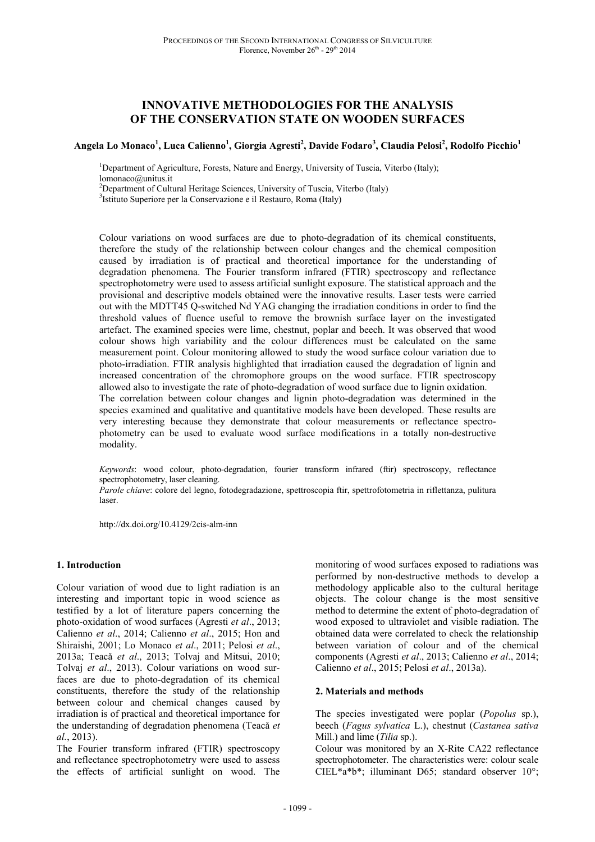# **INNOVATIVE METHODOLOGIES FOR THE ANALYSIS OF THE CONSERVATION STATE ON WOODEN SURFACES**

**Angela Lo Monaco<sup>1</sup> , Luca Calienno<sup>1</sup> , Giorgia Agresti<sup>2</sup> , Davide Fodaro<sup>3</sup> , Claudia Pelosi<sup>2</sup> , Rodolfo Picchio<sup>1</sup>**

<sup>1</sup>Department of Agriculture, Forests, Nature and Energy, University of Tuscia, Viterbo (Italy); lomonaco@unitus.it

<sup>2</sup>Department of Cultural Heritage Sciences, University of Tuscia, Viterbo (Italy)

3 Istituto Superiore per la Conservazione e il Restauro, Roma (Italy)

Colour variations on wood surfaces are due to photo-degradation of its chemical constituents, therefore the study of the relationship between colour changes and the chemical composition caused by irradiation is of practical and theoretical importance for the understanding of degradation phenomena. The Fourier transform infrared (FTIR) spectroscopy and reflectance spectrophotometry were used to assess artificial sunlight exposure. The statistical approach and the provisional and descriptive models obtained were the innovative results. Laser tests were carried out with the MDTT45 Q-switched Nd YAG changing the irradiation conditions in order to find the threshold values of fluence useful to remove the brownish surface layer on the investigated artefact. The examined species were lime, chestnut, poplar and beech. It was observed that wood colour shows high variability and the colour differences must be calculated on the same measurement point. Colour monitoring allowed to study the wood surface colour variation due to photo-irradiation. FTIR analysis highlighted that irradiation caused the degradation of lignin and increased concentration of the chromophore groups on the wood surface. FTIR spectroscopy allowed also to investigate the rate of photo-degradation of wood surface due to lignin oxidation. The correlation between colour changes and lignin photo-degradation was determined in the species examined and qualitative and quantitative models have been developed. These results are very interesting because they demonstrate that colour measurements or reflectance spectrophotometry can be used to evaluate wood surface modifications in a totally non-destructive modality.

*Keywords*: wood colour, photo-degradation, fourier transform infrared (ftir) spectroscopy, reflectance spectrophotometry, laser cleaning. *Parole chiave*: colore del legno, fotodegradazione, spettroscopia ftir, spettrofotometria in riflettanza, pulitura laser.

http://dx.doi.org/10.4129/2cis-alm-inn

### **1. Introduction**

Colour variation of wood due to light radiation is an interesting and important topic in wood science as testified by a lot of literature papers concerning the photo-oxidation of wood surfaces (Agresti *et al*., 2013; Calienno *et al*., 2014; Calienno *et al*., 2015; Hon and Shiraishi, 2001; Lo Monaco *et al*., 2011; Pelosi *et al*., 2013a; Teacǎ *et al*., 2013; Tolvaj and Mitsui, 2010; Tolvaj *et al*., 2013). Colour variations on wood surfaces are due to photo-degradation of its chemical constituents, therefore the study of the relationship between colour and chemical changes caused by irradiation is of practical and theoretical importance for the understanding of degradation phenomena (Teacǎ *et al.*, 2013).

The Fourier transform infrared (FTIR) spectroscopy and reflectance spectrophotometry were used to assess the effects of artificial sunlight on wood. The monitoring of wood surfaces exposed to radiations was performed by non-destructive methods to develop a methodology applicable also to the cultural heritage objects. The colour change is the most sensitive method to determine the extent of photo-degradation of wood exposed to ultraviolet and visible radiation. The obtained data were correlated to check the relationship between variation of colour and of the chemical components (Agresti *et al*., 2013; Calienno *et al*., 2014; Calienno *et al*., 2015; Pelosi *et al*., 2013a).

#### **2. Materials and methods**

The species investigated were poplar (*Popolus* sp.), beech (*Fagus sylvatica* L.), chestnut (*Castanea sativa* Mill.) and lime (*Tilia* sp.).

Colour was monitored by an X-Rite CA22 reflectance spectrophotometer. The characteristics were: colour scale CIEL\*a\*b\*; illuminant D65; standard observer 10°;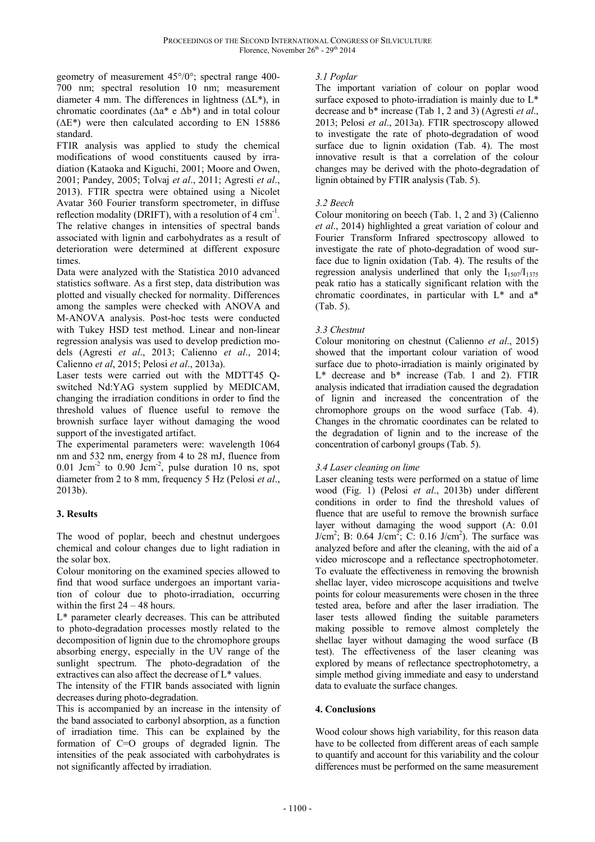geometry of measurement 45°/0°; spectral range 400- 700 nm; spectral resolution 10 nm; measurement diameter 4 mm. The differences in lightness (∆L\*), in chromatic coordinates (∆a\* e ∆b\*) and in total colour  $(\Delta E^*)$  were then calculated according to EN 15886 standard.

FTIR analysis was applied to study the chemical modifications of wood constituents caused by irradiation (Kataoka and Kiguchi, 2001; Moore and Owen, 2001; Pandey, 2005; Tolvaj *et al*., 2011; Agresti *et al*., 2013). FTIR spectra were obtained using a Nicolet Avatar 360 Fourier transform spectrometer, in diffuse reflection modality (DRIFT), with a resolution of 4 cm<sup>-1</sup>. The relative changes in intensities of spectral bands associated with lignin and carbohydrates as a result of deterioration were determined at different exposure times.

Data were analyzed with the Statistica 2010 advanced statistics software. As a first step, data distribution was plotted and visually checked for normality. Differences among the samples were checked with ANOVA and M-ANOVA analysis. Post-hoc tests were conducted with Tukey HSD test method. Linear and non-linear regression analysis was used to develop prediction models (Agresti *et al*., 2013; Calienno *et al*., 2014; Calienno *et al*, 2015; Pelosi *et al*., 2013a).

Laser tests were carried out with the MDTT45 Qswitched Nd:YAG system supplied by MEDICAM, changing the irradiation conditions in order to find the threshold values of fluence useful to remove the brownish surface layer without damaging the wood support of the investigated artifact.

The experimental parameters were: wavelength 1064 nm and 532 nm, energy from 4 to 28 mJ, fluence from  $0.01$  Jcm<sup>-2</sup> to  $0.90$  Jcm<sup>-2</sup>, pulse duration 10 ns, spot diameter from 2 to 8 mm, frequency 5 Hz (Pelosi *et al*., 2013b).

## **3. Results**

The wood of poplar, beech and chestnut undergoes chemical and colour changes due to light radiation in the solar box.

Colour monitoring on the examined species allowed to find that wood surface undergoes an important variation of colour due to photo-irradiation, occurring within the first 24 – 48 hours.

L\* parameter clearly decreases. This can be attributed to photo-degradation processes mostly related to the decomposition of lignin due to the chromophore groups absorbing energy, especially in the UV range of the sunlight spectrum. The photo-degradation of the extractives can also affect the decrease of L\* values.

The intensity of the FTIR bands associated with lignin decreases during photo-degradation.

This is accompanied by an increase in the intensity of the band associated to carbonyl absorption, as a function of irradiation time. This can be explained by the formation of C=O groups of degraded lignin. The intensities of the peak associated with carbohydrates is not significantly affected by irradiation.

## *3.1 Poplar*

The important variation of colour on poplar wood surface exposed to photo-irradiation is mainly due to  $L^*$ decrease and b\* increase (Tab 1, 2 and 3) (Agresti *et al*., 2013; Pelosi *et al*., 2013a). FTIR spectroscopy allowed to investigate the rate of photo-degradation of wood surface due to lignin oxidation (Tab. 4). The most innovative result is that a correlation of the colour changes may be derived with the photo-degradation of lignin obtained by FTIR analysis (Tab. 5).

## *3.2 Beech*

Colour monitoring on beech (Tab. 1, 2 and 3) (Calienno *et al*., 2014) highlighted a great variation of colour and Fourier Transform Infrared spectroscopy allowed to investigate the rate of photo-degradation of wood surface due to lignin oxidation (Tab. 4). The results of the regression analysis underlined that only the  $I_{1507}/I_{1375}$ peak ratio has a statically significant relation with the chromatic coordinates, in particular with L\* and a\* (Tab. 5).

# *3.3 Chestnut*

Colour monitoring on chestnut (Calienno *et al*., 2015) showed that the important colour variation of wood surface due to photo-irradiation is mainly originated by L\* decrease and b\* increase (Tab. 1 and 2). FTIR analysis indicated that irradiation caused the degradation of lignin and increased the concentration of the chromophore groups on the wood surface (Tab. 4). Changes in the chromatic coordinates can be related to the degradation of lignin and to the increase of the concentration of carbonyl groups (Tab. 5).

## *3.4 Laser cleaning on lime*

Laser cleaning tests were performed on a statue of lime wood (Fig. 1) (Pelosi *et al*., 2013b) under different conditions in order to find the threshold values of fluence that are useful to remove the brownish surface layer without damaging the wood support (A: 0.01  $J/cm^2$ ; B: 0.64  $J/cm^2$ ; C: 0.16  $J/cm^2$ ). The surface was analyzed before and after the cleaning, with the aid of a video microscope and a reflectance spectrophotometer. To evaluate the effectiveness in removing the brownish shellac layer, video microscope acquisitions and twelve points for colour measurements were chosen in the three tested area, before and after the laser irradiation. The laser tests allowed finding the suitable parameters making possible to remove almost completely the shellac layer without damaging the wood surface (B test). The effectiveness of the laser cleaning was explored by means of reflectance spectrophotometry, a simple method giving immediate and easy to understand data to evaluate the surface changes.

## **4. Conclusions**

Wood colour shows high variability, for this reason data have to be collected from different areas of each sample to quantify and account for this variability and the colour differences must be performed on the same measurement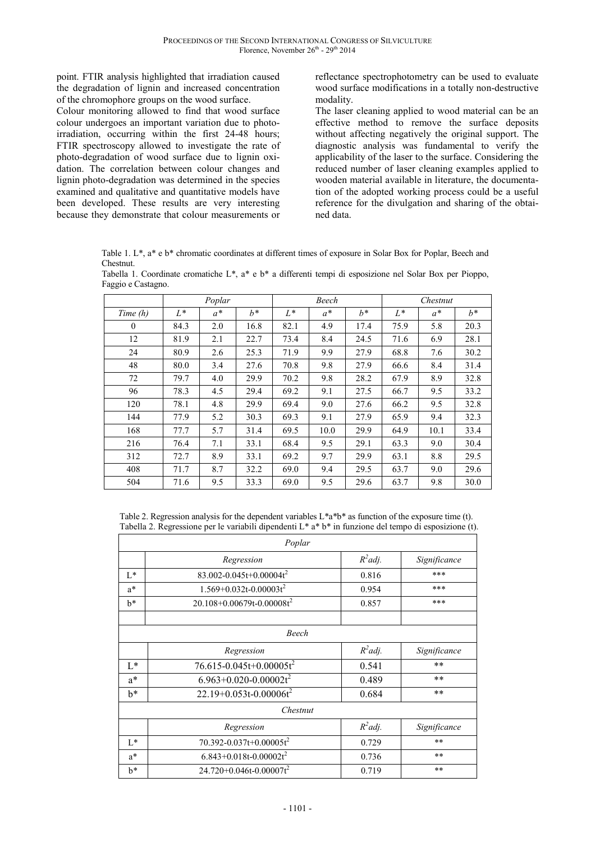point. FTIR analysis highlighted that irradiation caused the degradation of lignin and increased concentration of the chromophore groups on the wood surface.

Colour monitoring allowed to find that wood surface colour undergoes an important variation due to photoirradiation, occurring within the first 24-48 hours; FTIR spectroscopy allowed to investigate the rate of photo-degradation of wood surface due to lignin oxidation. The correlation between colour changes and lignin photo-degradation was determined in the species examined and qualitative and quantitative models have been developed. These results are very interesting because they demonstrate that colour measurements or

reflectance spectrophotometry can be used to evaluate wood surface modifications in a totally non-destructive modality.

The laser cleaning applied to wood material can be an effective method to remove the surface deposits without affecting negatively the original support. The diagnostic analysis was fundamental to verify the applicability of the laser to the surface. Considering the reduced number of laser cleaning examples applied to wooden material available in literature, the documentation of the adopted working process could be a useful reference for the divulgation and sharing of the obtained data.

Table 1. L\*, a\* e b\* chromatic coordinates at different times of exposure in Solar Box for Poplar, Beech and Chestnut.

Tabella 1. Coordinate cromatiche L\*, a\* e b\* a differenti tempi di esposizione nel Solar Box per Pioppo, Faggio e Castagno.

|            | Poplar |       | Beech |       |       | Chestnut |       |       |       |
|------------|--------|-------|-------|-------|-------|----------|-------|-------|-------|
| Time $(h)$ | $L^*$  | $a^*$ | $h^*$ | $L^*$ | $a^*$ | $h^*$    | $L^*$ | $a^*$ | $h^*$ |
| $\theta$   | 84.3   | 2.0   | 16.8  | 82.1  | 4.9   | 17.4     | 75.9  | 5.8   | 20.3  |
| 12         | 81.9   | 2.1   | 22.7  | 73.4  | 8.4   | 24.5     | 71.6  | 6.9   | 28.1  |
| 24         | 80.9   | 2.6   | 25.3  | 71.9  | 9.9   | 27.9     | 68.8  | 7.6   | 30.2  |
| 48         | 80.0   | 3.4   | 27.6  | 70.8  | 9.8   | 27.9     | 66.6  | 8.4   | 31.4  |
| 72         | 79.7   | 4.0   | 29.9  | 70.2  | 9.8   | 28.2     | 67.9  | 8.9   | 32.8  |
| 96         | 78.3   | 4.5   | 29.4  | 69.2  | 9.1   | 27.5     | 66.7  | 9.5   | 33.2  |
| 120        | 78.1   | 4.8   | 29.9  | 69.4  | 9.0   | 27.6     | 66.2  | 9.5   | 32.8  |
| 144        | 77.9   | 5.2   | 30.3  | 69.3  | 9.1   | 27.9     | 65.9  | 9.4   | 32.3  |
| 168        | 77.7   | 5.7   | 31.4  | 69.5  | 10.0  | 29.9     | 64.9  | 10.1  | 33.4  |
| 216        | 76.4   | 7.1   | 33.1  | 68.4  | 9.5   | 29.1     | 63.3  | 9.0   | 30.4  |
| 312        | 72.7   | 8.9   | 33.1  | 69.2  | 9.7   | 29.9     | 63.1  | 8.8   | 29.5  |
| 408        | 71.7   | 8.7   | 32.2  | 69.0  | 9.4   | 29.5     | 63.7  | 9.0   | 29.6  |
| 504        | 71.6   | 9.5   | 33.3  | 69.0  | 9.5   | 29.6     | 63.7  | 9.8   | 30.0  |

Table 2. Regression analysis for the dependent variables L\*a\*b\* as function of the exposure time (t). Tabella 2. Regressione per le variabili dipendenti L\* a\* b\* in funzione del tempo di esposizione (t).

|       | Poplar                              |            |              |  |
|-------|-------------------------------------|------------|--------------|--|
|       | Regression                          | $R^2$ adj. | Significance |  |
| L*    | 83.002-0.045t+0.00004t <sup>2</sup> | 0.816      | ***          |  |
| $a^*$ | $1.569+0.032t-0.00003t^2$           | 0.954      | ***          |  |
| $h^*$ | $20.108 + 0.00679t - 0.00008t^2$    | 0.857      | ***          |  |
|       | Beech                               |            |              |  |
|       | Regression                          | $R^2$ adj. | Significance |  |
| $L^*$ | 76.615-0.045t+0.00005t <sup>2</sup> | 0.541      | **           |  |
| $a^*$ | $6.963+0.020-0.00002t^2$            | 0.489      | $***$        |  |
| $h^*$ | $22.19+0.053t-0.00006t^2$           | 0.684      | **           |  |
|       | Chestnut                            |            |              |  |
|       | Regression                          | $R^2$ adj. | Significance |  |
| $L^*$ | 70.392-0.037t+0.00005t <sup>2</sup> | 0.729      | **           |  |
| $a^*$ | $6.843 + 0.018t - 0.00002t^2$       | 0.736      | **           |  |
| $b^*$ | $24.720 + 0.046t - 0.00007t^2$      | 0.719      | **           |  |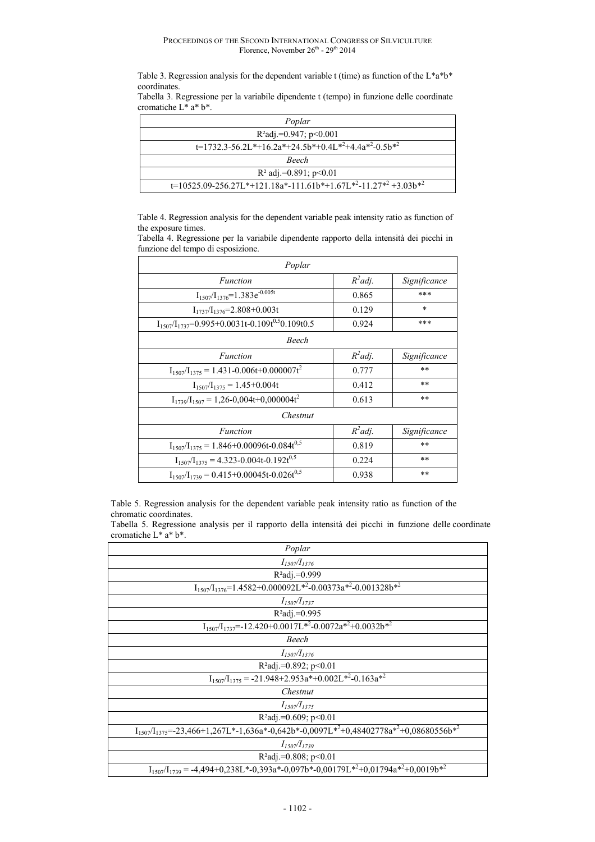Table 3. Regression analysis for the dependent variable t (time) as function of the L\*a\*b\* coordinates.

Tabella 3. Regressione per la variabile dipendente t (tempo) in funzione delle coordinate cromatiche L\* a\* b\*.

| Poplar                                                             |
|--------------------------------------------------------------------|
| $R^2$ adj.=0.947; p<0.001                                          |
| $t=1732.3-56.2L*+16.2a*+24.5b*+0.4L*^2+4.4a*^2-0.5b*^2$            |
| <b>Beech</b>                                                       |
| $R^2$ adj.=0.891; p<0.01                                           |
| $t=10525.09-256.27L*+121.18a*-111.61b*+1.67L*^2-11.27*^2+3.03b*^2$ |

Table 4. Regression analysis for the dependent variable peak intensity ratio as function of the exposure times.

Tabella 4. Regressione per la variabile dipendente rapporto della intensità dei picchi in funzione del tempo di esposizione.

| Poplar                                                             |            |              |
|--------------------------------------------------------------------|------------|--------------|
| Function                                                           | $R^2$ adj. | Significance |
| $I_{1507}/I_{1376} = 1.383e^{-0.005t}$                             | 0.865      | ***          |
| $I_{1737}/I_{1376} = 2.808 + 0.003t$                               | 0.129      | $\ast$       |
| $I_{1507}/I_{1737}$ =0.995+0.0031t-0.109t <sup>0.5</sup> 0.109t0.5 | 0.924      | ***          |
| Beech                                                              |            |              |
| Function                                                           | $R^2$ adj. | Significance |
| $I_{1507}/I_{1375} = 1.431 - 0.006t + 0.000007t^2$                 | 0.777      | **           |
| $I_{1507}/I_{1375} = 1.45 + 0.004t$                                | 0.412      | $* *$        |
| $I_{1739}/I_{1507} = 1,26-0,004t+0,000004t^2$                      | 0.613      | **           |
| Chestnut                                                           |            |              |
| Function                                                           | $R^2$ adj. | Significance |
| $I_{1507}/I_{1375} = 1.846 + 0.00096t - 0.084t^{0.5}$              | 0.819      | $* *$        |
| $I_{1507}/I_{1375} = 4.323 - 0.004t - 0.192t^{0.5}$                | 0.224      | **           |
| $I_{1507}/I_{1739} = 0.415 + 0.00045t - 0.026t^{0.5}$              | 0.938      | $* *$        |

Table 5. Regression analysis for the dependent variable peak intensity ratio as function of the chromatic coordinates.

Tabella 5. Regressione analysis per il rapporto della intensità dei picchi in funzione delle coordinate cromatiche L\* a\* b\*.

| Poplar                                                                                               |
|------------------------------------------------------------------------------------------------------|
| $I_{1507}/I_{1376}$                                                                                  |
| $R^2$ adj.=0.999                                                                                     |
| $I_{1507}/I_{1376}$ =1.4582+0.000092L <sup>*2</sup> -0.00373a <sup>*2</sup> -0.001328b <sup>*2</sup> |
| $I_{1507}/I_{1737}$                                                                                  |
| $R^2$ adj.=0.995                                                                                     |
| $I_{1507}/I_{1737} = -12.420 + 0.0017L^{*2} - 0.0072a^{*2} + 0.0032b^{*2}$                           |
| Beech                                                                                                |
| $I_{1507}/I_{1376}$                                                                                  |
| $R^2$ adj.=0.892; p<0.01                                                                             |
| $I_{1507}/I_{1375} = -21.948 + 2.953a^{*} + 0.002L^{*2} - 0.163a^{*2}$                               |
| Chestnut                                                                                             |
| $I_{1507}/I_{1375}$                                                                                  |
| $R^2$ adj.=0.609; p<0.01                                                                             |
| $I_{1507}/I_{1375} = 23,466+1,267L*-1,636a*-0,642b*-0,0097L*^2+0,48402778a*^2+0,08680556b*^2$        |
| $I_{1507}/I_{1739}$                                                                                  |
| R <sup>2</sup> adj.=0.808; p<0.01                                                                    |
| $I_{1507}/I_{1739} = -4,494+0,238L*-0,393a*-0,097b*-0,00179L*-2+0,01794a*-2+0,0019b*2$               |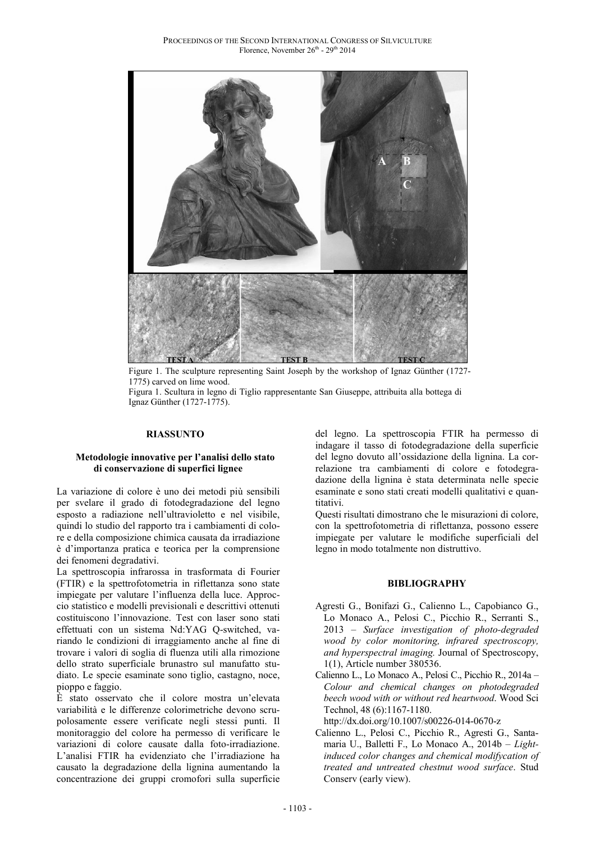

Figure 1. The sculpture representing Saint Joseph by the workshop of Ignaz Günther (1727- 1775) carved on lime wood.

Figura 1. Scultura in legno di Tiglio rappresentante San Giuseppe, attribuita alla bottega di Ignaz Günther (1727-1775).

### **RIASSUNTO**

#### **Metodologie innovative per l'analisi dello stato di conservazione di superfici lignee**

La variazione di colore è uno dei metodi più sensibili per svelare il grado di fotodegradazione del legno esposto a radiazione nell'ultravioletto e nel visibile, quindi lo studio del rapporto tra i cambiamenti di colore e della composizione chimica causata da irradiazione è d'importanza pratica e teorica per la comprensione dei fenomeni degradativi.

La spettroscopia infrarossa in trasformata di Fourier (FTIR) e la spettrofotometria in riflettanza sono state impiegate per valutare l'influenza della luce. Approccio statistico e modelli previsionali e descrittivi ottenuti costituiscono l'innovazione. Test con laser sono stati effettuati con un sistema Nd:YAG Q-switched, variando le condizioni di irraggiamento anche al fine di trovare i valori di soglia di fluenza utili alla rimozione dello strato superficiale brunastro sul manufatto studiato. Le specie esaminate sono tiglio, castagno, noce, pioppo e faggio.

È stato osservato che il colore mostra un'elevata variabilità e le differenze colorimetriche devono scrupolosamente essere verificate negli stessi punti. Il monitoraggio del colore ha permesso di verificare le variazioni di colore causate dalla foto-irradiazione. L'analisi FTIR ha evidenziato che l'irradiazione ha causato la degradazione della lignina aumentando la concentrazione dei gruppi cromofori sulla superficie del legno. La spettroscopia FTIR ha permesso di indagare il tasso di fotodegradazione della superficie del legno dovuto all'ossidazione della lignina. La correlazione tra cambiamenti di colore e fotodegradazione della lignina è stata determinata nelle specie esaminate e sono stati creati modelli qualitativi e quantitativi.

Questi risultati dimostrano che le misurazioni di colore, con la spettrofotometria di riflettanza, possono essere impiegate per valutare le modifiche superficiali del legno in modo totalmente non distruttivo.

#### **BIBLIOGRAPHY**

- Agresti G., Bonifazi G., Calienno L., Capobianco G., Lo Monaco A., Pelosi C., Picchio R., Serranti S., 2013 – *Surface investigation of photo-degraded wood by color monitoring, infrared spectroscopy, and hyperspectral imaging.* Journal of Spectroscopy, 1(1), Article number 380536.
- Calienno L., Lo Monaco A., Pelosi C., Picchio R., 2014a *Colour and chemical changes on photodegraded beech wood with or without red heartwood*. Wood Sci Technol, 48 (6):1167-1180.

http://dx.doi.org/10.1007/s00226-014-0670-z

Calienno L., Pelosi C., Picchio R., Agresti G., Santamaria U., Balletti F., Lo Monaco A., 2014b – *Lightinduced color changes and chemical modifycation of treated and untreated chestnut wood surface*. Stud Conserv (early view).